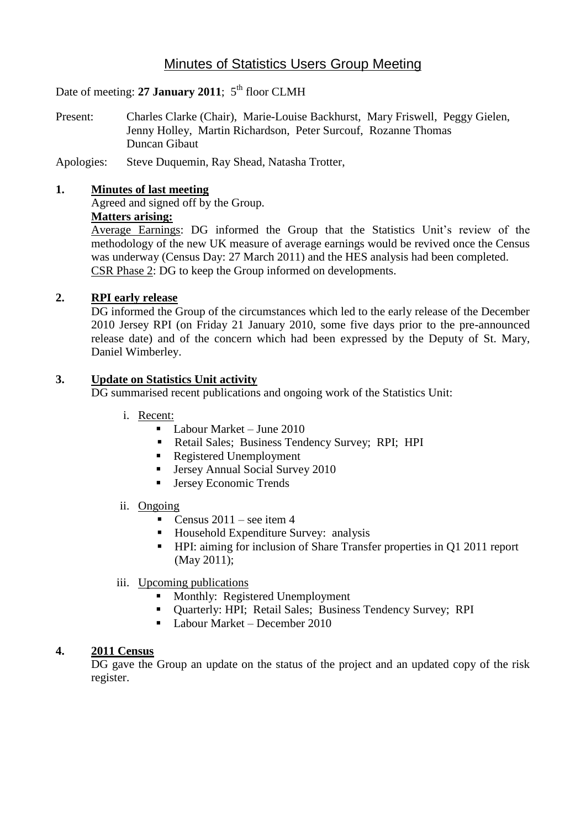# Minutes of Statistics Users Group Meeting

Date of meeting: 27 January 2011; 5<sup>th</sup> floor CLMH

- Present: Charles Clarke (Chair), Marie-Louise Backhurst, Mary Friswell, Peggy Gielen, Jenny Holley, Martin Richardson, Peter Surcouf, Rozanne Thomas Duncan Gibaut
- Apologies: Steve Duquemin, Ray Shead, Natasha Trotter,

### **1. Minutes of last meeting**

Agreed and signed off by the Group.

# **Matters arising:**

Average Earnings: DG informed the Group that the Statistics Unit's review of the methodology of the new UK measure of average earnings would be revived once the Census was underway (Census Day: 27 March 2011) and the HES analysis had been completed. CSR Phase 2: DG to keep the Group informed on developments.

### **2. RPI early release**

DG informed the Group of the circumstances which led to the early release of the December 2010 Jersey RPI (on Friday 21 January 2010, some five days prior to the pre-announced release date) and of the concern which had been expressed by the Deputy of St. Mary, Daniel Wimberley.

### **3. Update on Statistics Unit activity**

DG summarised recent publications and ongoing work of the Statistics Unit:

- i. Recent:
	- Labour Market June 2010
	- Retail Sales; Business Tendency Survey; RPI; HPI
	- Registered Unemployment
	- **Jersey Annual Social Survey 2010**
	- Jersey Economic Trends

#### ii. Ongoing

- **Census 2011** see item 4
- Household Expenditure Survey: analysis
- HPI: aiming for inclusion of Share Transfer properties in Q1 2011 report (May 2011);
- iii. Upcoming publications
	- **Monthly: Registered Unemployment**
	- Ouarterly: HPI: Retail Sales: Business Tendency Survey: RPI
	- Labour Market December 2010

### **4. 2011 Census**

DG gave the Group an update on the status of the project and an updated copy of the risk register.